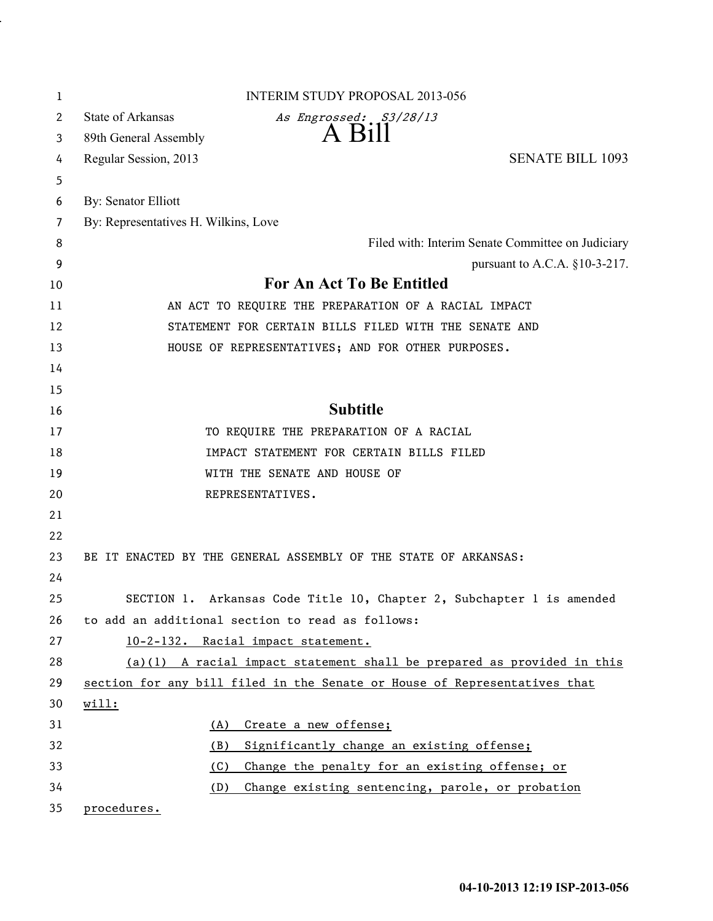| 1  | <b>INTERIM STUDY PROPOSAL 2013-056</b>                                    |
|----|---------------------------------------------------------------------------|
| 2  | State of Arkansas<br>As Engrossed: S3/28/13                               |
| 3  | $A$ $B11$<br>89th General Assembly                                        |
| 4  | <b>SENATE BILL 1093</b><br>Regular Session, 2013                          |
| 5  |                                                                           |
| 6  | By: Senator Elliott                                                       |
| 7  | By: Representatives H. Wilkins, Love                                      |
| 8  | Filed with: Interim Senate Committee on Judiciary                         |
| 9  | pursuant to A.C.A. $§10-3-217$ .                                          |
| 10 | For An Act To Be Entitled                                                 |
| 11 | AN ACT TO REQUIRE THE PREPARATION OF A RACIAL IMPACT                      |
| 12 | STATEMENT FOR CERTAIN BILLS FILED WITH THE SENATE AND                     |
| 13 | HOUSE OF REPRESENTATIVES; AND FOR OTHER PURPOSES.                         |
| 14 |                                                                           |
| 15 |                                                                           |
| 16 | <b>Subtitle</b>                                                           |
| 17 | TO REQUIRE THE PREPARATION OF A RACIAL                                    |
| 18 | IMPACT STATEMENT FOR CERTAIN BILLS FILED                                  |
| 19 | WITH THE SENATE AND HOUSE OF                                              |
| 20 | REPRESENTATIVES.                                                          |
| 21 |                                                                           |
| 22 |                                                                           |
| 23 | BE IT ENACTED BY THE GENERAL ASSEMBLY OF THE STATE OF ARKANSAS:           |
| 24 |                                                                           |
| 25 | SECTION 1. Arkansas Code Title 10, Chapter 2, Subchapter 1 is amended     |
| 26 | to add an additional section to read as follows:                          |
| 27 | 10-2-132. Racial impact statement.                                        |
| 28 | $(a)(1)$ A racial impact statement shall be prepared as provided in this  |
| 29 | section for any bill filed in the Senate or House of Representatives that |
| 30 | will:                                                                     |
| 31 | Create a new offense;<br>(A)                                              |
| 32 | Significantly change an existing offense;<br>(B)                          |
| 33 | (C)<br>Change the penalty for an existing offense; or                     |
| 34 | Change existing sentencing, parole, or probation<br>(D)                   |
| 35 | procedures.                                                               |

.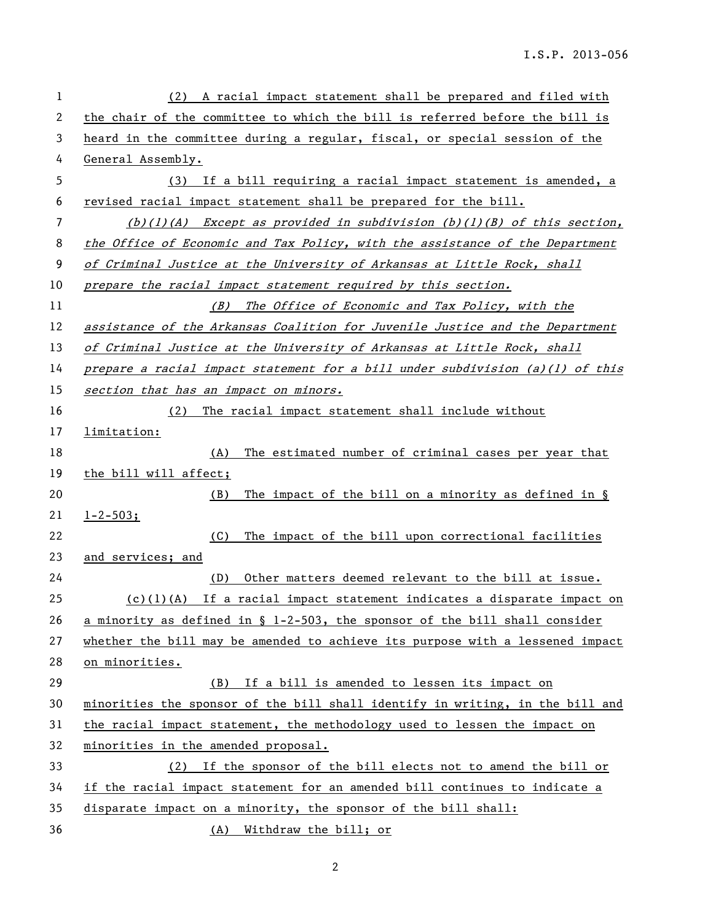| 1  | A racial impact statement shall be prepared and filed with<br>(2)               |
|----|---------------------------------------------------------------------------------|
| 2  | the chair of the committee to which the bill is referred before the bill is     |
| 3  | heard in the committee during a regular, fiscal, or special session of the      |
| 4  | General Assembly.                                                               |
| 5  | (3) If a bill requiring a racial impact statement is amended, a                 |
| 6  | revised racial impact statement shall be prepared for the bill.                 |
| 7  | $(b)(1)(A)$ Except as provided in subdivision $(b)(1)(B)$ of this section,      |
| 8  | the Office of Economic and Tax Policy, with the assistance of the Department    |
| 9  | of Criminal Justice at the University of Arkansas at Little Rock, shall         |
| 10 | prepare the racial impact statement required by this section.                   |
| 11 | The Office of Economic and Tax Policy, with the<br>(B)                          |
| 12 | assistance of the Arkansas Coalition for Juvenile Justice and the Department    |
| 13 | of Criminal Justice at the University of Arkansas at Little Rock, shall         |
| 14 | prepare a racial impact statement for a bill under subdivision $(a)(l)$ of this |
| 15 | section that has an impact on minors.                                           |
| 16 | (2)<br>The racial impact statement shall include without                        |
| 17 | limitation:                                                                     |
| 18 | The estimated number of criminal cases per year that<br>(A)                     |
| 19 | the bill will affect;                                                           |
| 20 | The impact of the bill on a minority as defined in $\S$<br>(B)                  |
| 21 | $1 - 2 - 503;$                                                                  |
| 22 | The impact of the bill upon correctional facilities<br>(C)                      |
| 23 | and services; and                                                               |
| 24 | Other matters deemed relevant to the bill at issue.<br>(D)                      |
| 25 | $(c)(1)(A)$ If a racial impact statement indicates a disparate impact on        |
| 26 | a minority as defined in § 1-2-503, the sponsor of the bill shall consider      |
| 27 | whether the bill may be amended to achieve its purpose with a lessened impact   |
| 28 | on minorities.                                                                  |
| 29 | (B) If a bill is amended to lessen its impact on                                |
| 30 | minorities the sponsor of the bill shall identify in writing, in the bill and   |
| 31 | the racial impact statement, the methodology used to lessen the impact on       |
| 32 | minorities in the amended proposal.                                             |
| 33 | (2) If the sponsor of the bill elects not to amend the bill or                  |
| 34 | if the racial impact statement for an amended bill continues to indicate a      |
| 35 | disparate impact on a minority, the sponsor of the bill shall:                  |
| 36 | (A) Withdraw the bill; or                                                       |